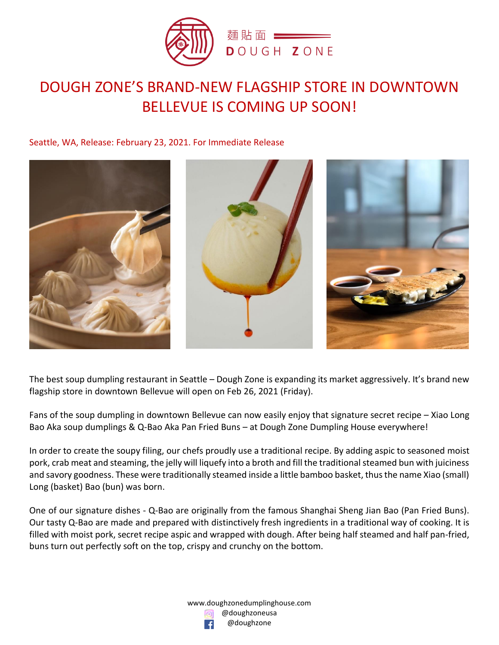

# DOUGH ZONE'S BRAND-NEW FLAGSHIP STORE IN DOWNTOWN BELLEVUE IS COMING UP SOON!

Seattle, WA, Release: February 23, 2021. For Immediate Release



The best soup dumpling restaurant in Seattle – Dough Zone is expanding its market aggressively. It's brand new flagship store in downtown Bellevue will open on Feb 26, 2021 (Friday).

Fans of the soup dumpling in downtown Bellevue can now easily enjoy that signature secret recipe – Xiao Long Bao Aka soup dumplings & Q-Bao Aka Pan Fried Buns – at Dough Zone Dumpling House everywhere!

In order to create the soupy filing, our chefs proudly use a traditional recipe. By adding aspic to seasoned moist pork, crab meat and steaming, the jelly will liquefy into a broth and fill the traditional steamed bun with juiciness and savory goodness. These were traditionally steamed inside a little bamboo basket, thus the name Xiao (small) Long (basket) Bao (bun) was born.

One of our signature dishes - Q-Bao are originally from the famous Shanghai Sheng Jian Bao (Pan Fried Buns). Our tasty Q-Bao are made and prepared with distinctively fresh ingredients in a traditional way of cooking. It is filled with moist pork, secret recipe aspic and wrapped with dough. After being half steamed and half pan-fried, buns turn out perfectly soft on the top, crispy and crunchy on the bottom.

> www.doughzonedumplinghouse.com @doughzoneusa @doughzone